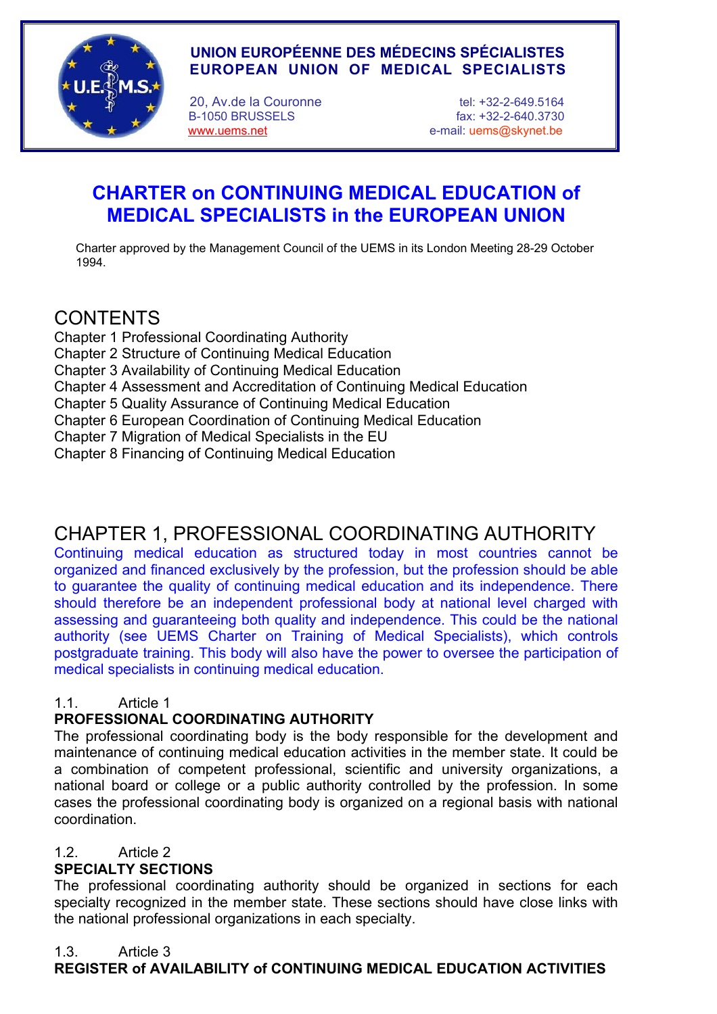

# **UNION EUROPÉENNE DES MÉDECINS SPÉCIALISTES EUROPEAN UNION OF MEDICAL SPECIALISTS**

20, Av.de la Couronne tel: +32-2-649.5164

 B-1050 BRUSSELS fax: +32-2-640.3730 www.uems.net e-mail: uems@skynet.be

# **CHARTER on CONTINUING MEDICAL EDUCATION of MEDICAL SPECIALISTS in the EUROPEAN UNION**

Charter approved by the Management Council of the UEMS in its London Meeting 28-29 October 1994.

# CONTENTS

- Chapter 1 Professional Coordinating Authority
- Chapter 2 Structure of Continuing Medical Education
- Chapter 3 Availability of Continuing Medical Education
- Chapter 4 Assessment and Accreditation of Continuing Medical Education
- Chapter 5 Quality Assurance of Continuing Medical Education
- Chapter 6 European Coordination of Continuing Medical Education
- Chapter 7 Migration of Medical Specialists in the EU
- Chapter 8 Financing of Continuing Medical Education

# CHAPTER 1, PROFESSIONAL COORDINATING AUTHORITY

Continuing medical education as structured today in most countries cannot be organized and financed exclusively by the profession, but the profession should be able to guarantee the quality of continuing medical education and its independence. There should therefore be an independent professional body at national level charged with assessing and guaranteeing both quality and independence. This could be the national authority (see UEMS Charter on Training of Medical Specialists), which controls postgraduate training. This body will also have the power to oversee the participation of medical specialists in continuing medical education.

# 1.1. Article 1

# **PROFESSIONAL COORDINATING AUTHORITY**

The professional coordinating body is the body responsible for the development and maintenance of continuing medical education activities in the member state. It could be a combination of competent professional, scientific and university organizations, a national board or college or a public authority controlled by the profession. In some cases the professional coordinating body is organized on a regional basis with national coordination.

# 1.2. Article 2

# **SPECIALTY SECTIONS**

The professional coordinating authority should be organized in sections for each specialty recognized in the member state. These sections should have close links with the national professional organizations in each specialty.

# 1.3. Article 3

# **REGISTER of AVAILABILITY of CONTINUING MEDICAL EDUCATION ACTIVITIES**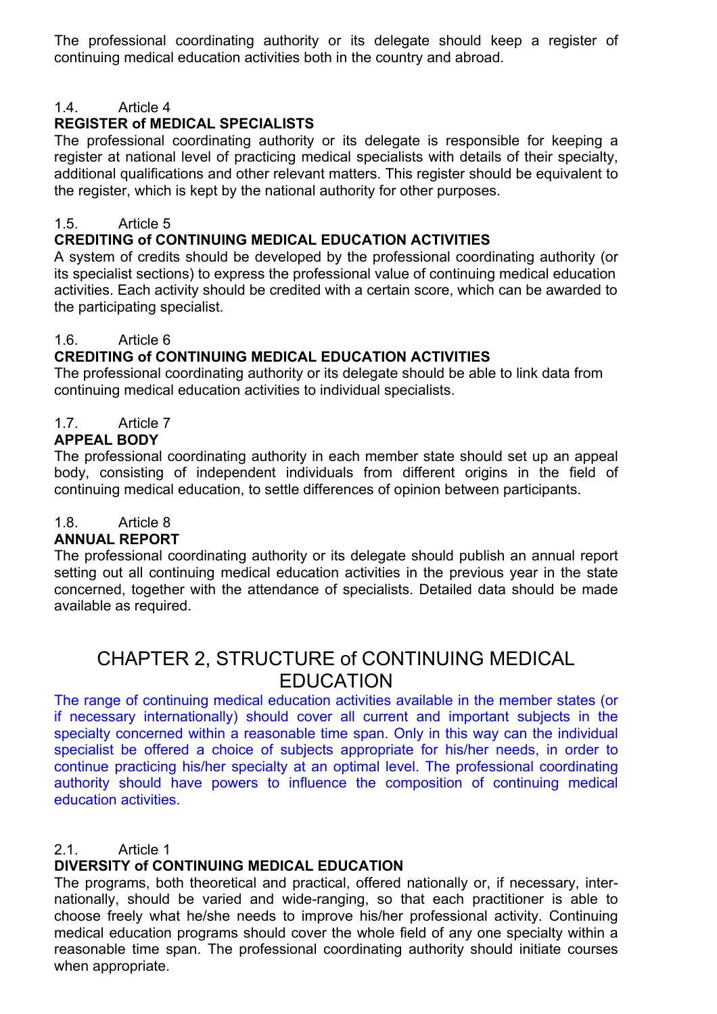The professional coordinating authority or its delegate should keep a register of continuing medical education activities both in the country and abroad.

# 1.4. Article 4

# **REGISTER of MEDICAL SPECIALISTS**

The professional coordinating authority or its delegate is responsible for keeping a register at national level of practicing medical specialists with details of their specialty, additional qualifications and other relevant matters. This register should be equivalent to the register, which is kept by the national authority for other purposes.

## 1.5. Article 5

#### **CREDITING of CONTINUING MEDICAL EDUCATION ACTIVITIES**

A system of credits should be developed by the professional coordinating authority (or its specialist sections) to express the professional value of continuing medical education activities. Each activity should be credited with a certain score, which can be awarded to the participating specialist.

#### 1.6. Article 6

## **CREDITING of CONTINUING MEDICAL EDUCATION ACTIVITIES**

The professional coordinating authority or its delegate should be able to link data from continuing medical education activities to individual specialists.

## 1.7. Article 7

#### **APPEAL BODY**

The professional coordinating authority in each member state should set up an appeal body, consisting of independent individuals from different origins in the field of continuing medical education, to settle differences of opinion between participants.

## 1.8. Article 8

## **ANNUAL REPORT**

The professional coordinating authority or its delegate should publish an annual report setting out all continuing medical education activities in the previous year in the state concerned, together with the attendance of specialists. Detailed data should be made available as required.

# CHAPTER 2, STRUCTURE of CONTINUING MEDICAL EDUCATION

The range of continuing medical education activities available in the member states (or if necessary internationally) should cover all current and important subjects in the specialty concerned within a reasonable time span. Only in this way can the individual specialist be offered a choice of subjects appropriate for his/her needs, in order to continue practicing his/her specialty at an optimal level. The professional coordinating authority should have powers to influence the composition of continuing medical education activities.

#### 2.1. Article 1

## **DIVERSITY of CONTINUING MEDICAL EDUCATION**

The programs, both theoretical and practical, offered nationally or, if necessary, internationally, should be varied and wide-ranging, so that each practitioner is able to choose freely what he/she needs to improve his/her professional activity. Continuing medical education programs should cover the whole field of any one specialty within a reasonable time span. The professional coordinating authority should initiate courses when appropriate.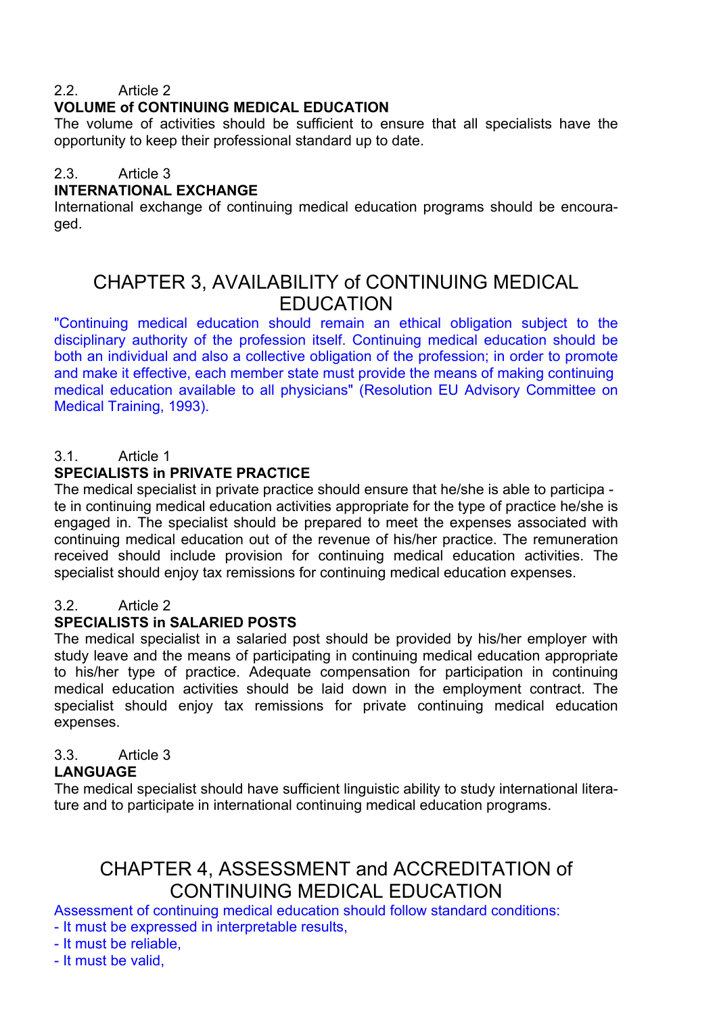## 2.2. Article 2.

#### **VOLUME of CONTINUING MEDICAL EDUCATION**

The volume of activities should be sufficient to ensure that all specialists have the opportunity to keep their professional standard up to date.

#### 2.3. Article 3

#### **INTERNATIONAL EXCHANGE**

International exchange of continuing medical education programs should be encouraged.

# CHAPTER 3, AVAILABILITY of CONTINUING MEDICAL EDUCATION

"Continuing medical education should remain an ethical obligation subject to the disciplinary authority of the profession itself. Continuing medical education should be both an individual and also a collective obligation of the profession; in order to promote and make it effective, each member state must provide the means of making continuing medical education available to all physicians" (Resolution EU Advisory Committee on Medical Training, 1993).

## 3.1. Article 1

# **SPECIALISTS in PRIVATE PRACTICE**

The medical specialist in private practice should ensure that he/she is able to participa te in continuing medical education activities appropriate for the type of practice he/she is engaged in. The specialist should be prepared to meet the expenses associated with continuing medical education out of the revenue of his/her practice. The remuneration received should include provision for continuing medical education activities. The specialist should enjoy tax remissions for continuing medical education expenses.

#### 3.2. Article 2

## **SPECIALISTS in SALARIED POSTS**

The medical specialist in a salaried post should be provided by his/her employer with study leave and the means of participating in continuing medical education appropriate to his/her type of practice. Adequate compensation for participation in continuing medical education activities should be laid down in the employment contract. The specialist should enjoy tax remissions for private continuing medical education expenses.

# 3.3. Article 3

## **LANGUAGE**

The medical specialist should have sufficient linguistic ability to study international literature and to participate in international continuing medical education programs.

# CHAPTER 4, ASSESSMENT and ACCREDITATION of CONTINUING MEDICAL EDUCATION

Assessment of continuing medical education should follow standard conditions: - It must be expressed in interpretable results,

- It must be reliable,

- It must be valid,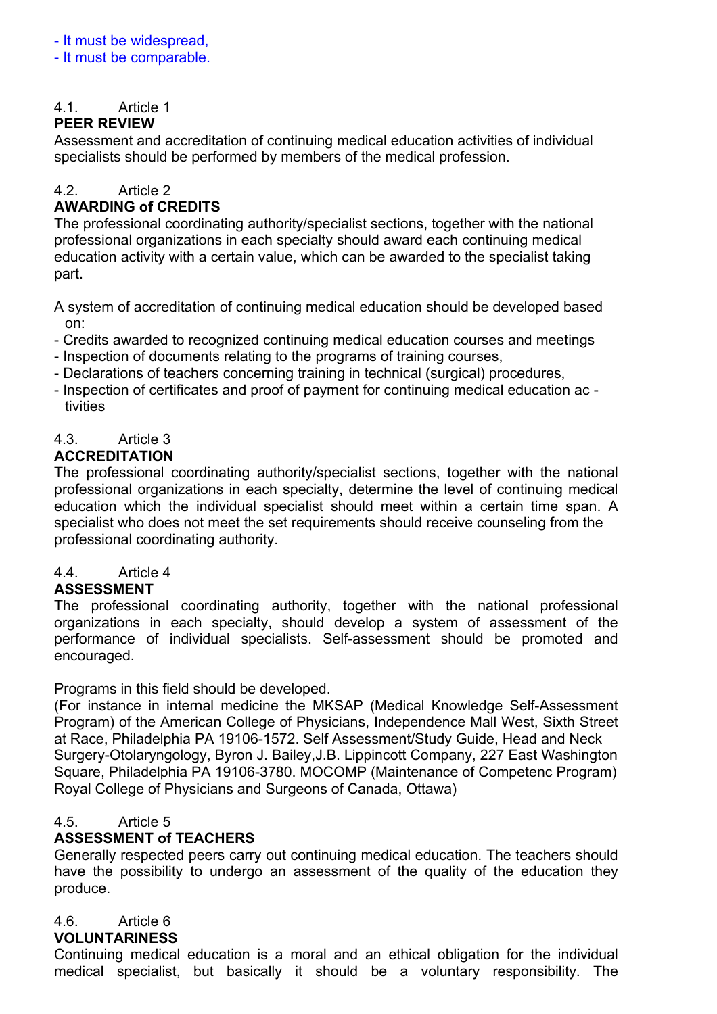#### - It must be widespread,

- It must be comparable.

# 4.1. Article 1

## **PEER REVIEW**

Assessment and accreditation of continuing medical education activities of individual specialists should be performed by members of the medical profession.

# 4.2. Article 2

# **AWARDING of CREDITS**

The professional coordinating authority/specialist sections, together with the national professional organizations in each specialty should award each continuing medical education activity with a certain value, which can be awarded to the specialist taking part.

A system of accreditation of continuing medical education should be developed based on:

- Credits awarded to recognized continuing medical education courses and meetings
- Inspection of documents relating to the programs of training courses,
- Declarations of teachers concerning training in technical (surgical) procedures,
- Inspection of certificates and proof of payment for continuing medical education ac tivities

#### 4.3. Article 3 **ACCREDITATION**

The professional coordinating authority/specialist sections, together with the national professional organizations in each specialty, determine the level of continuing medical education which the individual specialist should meet within a certain time span. A specialist who does not meet the set requirements should receive counseling from the professional coordinating authority.

# 4.4. Article 4

## **ASSESSMENT**

The professional coordinating authority, together with the national professional organizations in each specialty, should develop a system of assessment of the performance of individual specialists. Self-assessment should be promoted and encouraged.

Programs in this field should be developed.

(For instance in internal medicine the MKSAP (Medical Knowledge Self-Assessment Program) of the American College of Physicians, Independence Mall West, Sixth Street at Race, Philadelphia PA 19106-1572. Self Assessment/Study Guide, Head and Neck Surgery-Otolaryngology, Byron J. Bailey,J.B. Lippincott Company, 227 East Washington Square, Philadelphia PA 19106-3780. MOCOMP (Maintenance of Competenc Program) Royal College of Physicians and Surgeons of Canada, Ottawa)

## 4.5. Article 5

# **ASSESSMENT of TEACHERS**

Generally respected peers carry out continuing medical education. The teachers should have the possibility to undergo an assessment of the quality of the education they produce.

# 4.6. Article 6

# **VOLUNTARINESS**

Continuing medical education is a moral and an ethical obligation for the individual medical specialist, but basically it should be a voluntary responsibility. The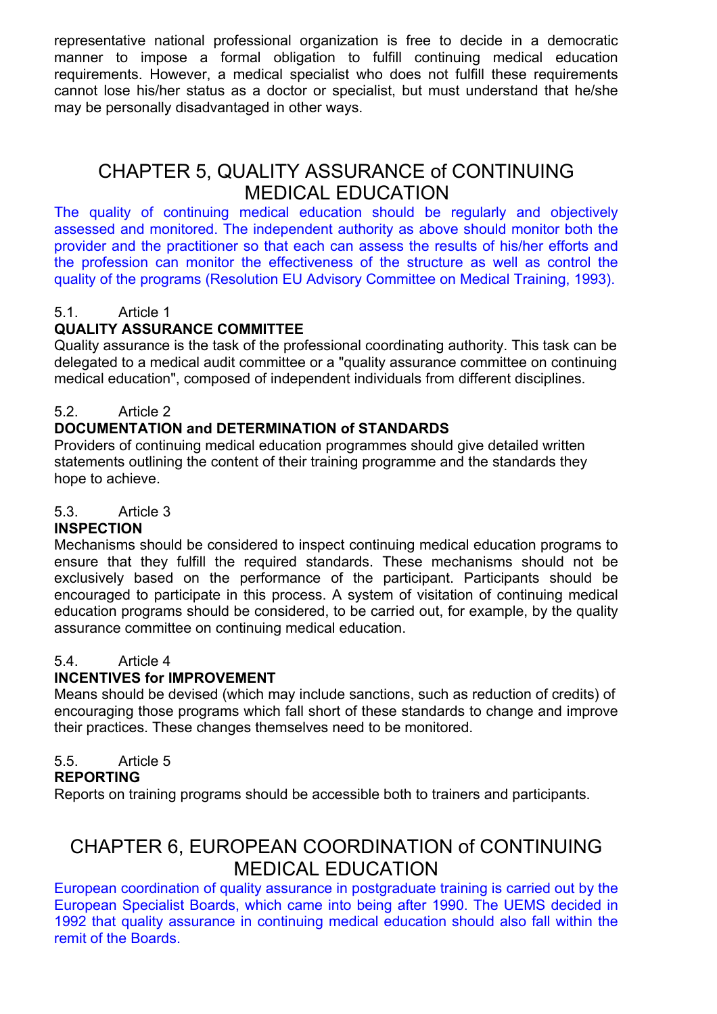representative national professional organization is free to decide in a democratic manner to impose a formal obligation to fulfill continuing medical education requirements. However, a medical specialist who does not fulfill these requirements cannot lose his/her status as a doctor or specialist, but must understand that he/she may be personally disadvantaged in other ways.

# CHAPTER 5, QUALITY ASSURANCE of CONTINUING MEDICAL EDUCATION

The quality of continuing medical education should be regularly and objectively assessed and monitored. The independent authority as above should monitor both the provider and the practitioner so that each can assess the results of his/her efforts and the profession can monitor the effectiveness of the structure as well as control the quality of the programs (Resolution EU Advisory Committee on Medical Training, 1993).

# 5.1. Article 1

# **QUALITY ASSURANCE COMMITTEE**

Quality assurance is the task of the professional coordinating authority. This task can be delegated to a medical audit committee or a "quality assurance committee on continuing medical education", composed of independent individuals from different disciplines.

# 5.2. Article 2

# **DOCUMENTATION and DETERMINATION of STANDARDS**

Providers of continuing medical education programmes should give detailed written statements outlining the content of their training programme and the standards they hope to achieve.

## 5.3. Article 3

## **INSPECTION**

Mechanisms should be considered to inspect continuing medical education programs to ensure that they fulfill the required standards. These mechanisms should not be exclusively based on the performance of the participant. Participants should be encouraged to participate in this process. A system of visitation of continuing medical education programs should be considered, to be carried out, for example, by the quality assurance committee on continuing medical education.

#### 5.4. Article 4

## **INCENTIVES for IMPROVEMENT**

Means should be devised (which may include sanctions, such as reduction of credits) of encouraging those programs which fall short of these standards to change and improve their practices. These changes themselves need to be monitored.

## 5.5. Article 5

#### **REPORTING**

Reports on training programs should be accessible both to trainers and participants.

# CHAPTER 6, EUROPEAN COORDINATION of CONTINUING MEDICAL EDUCATION

European coordination of quality assurance in postgraduate training is carried out by the European Specialist Boards, which came into being after 1990. The UEMS decided in 1992 that quality assurance in continuing medical education should also fall within the remit of the Boards.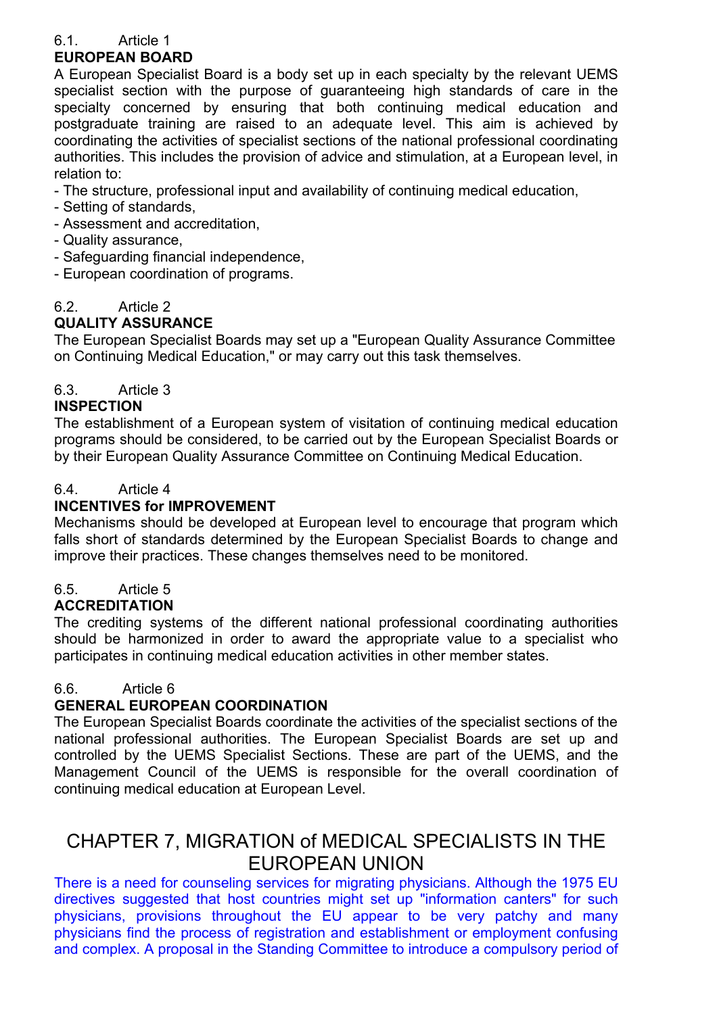# 6.1. Article 1

# **EUROPEAN BOARD**

A European Specialist Board is a body set up in each specialty by the relevant UEMS specialist section with the purpose of guaranteeing high standards of care in the specialty concerned by ensuring that both continuing medical education and postgraduate training are raised to an adequate level. This aim is achieved by coordinating the activities of specialist sections of the national professional coordinating authorities. This includes the provision of advice and stimulation, at a European level, in relation to:

- The structure, professional input and availability of continuing medical education,
- Setting of standards,
- Assessment and accreditation,
- Quality assurance,
- Safeguarding financial independence,
- European coordination of programs.

# 6.2. Article 2

# **QUALITY ASSURANCE**

The European Specialist Boards may set up a "European Quality Assurance Committee on Continuing Medical Education," or may carry out this task themselves.

# 6.3. Article 3

## **INSPECTION**

The establishment of a European system of visitation of continuing medical education programs should be considered, to be carried out by the European Specialist Boards or by their European Quality Assurance Committee on Continuing Medical Education.

# 6.4. Article 4

## **INCENTIVES for IMPROVEMENT**

Mechanisms should be developed at European level to encourage that program which falls short of standards determined by the European Specialist Boards to change and improve their practices. These changes themselves need to be monitored.

# 6.5. Article 5

## **ACCREDITATION**

The crediting systems of the different national professional coordinating authorities should be harmonized in order to award the appropriate value to a specialist who participates in continuing medical education activities in other member states.

## 6.6. Article 6

# **GENERAL EUROPEAN COORDINATION**

The European Specialist Boards coordinate the activities of the specialist sections of the national professional authorities. The European Specialist Boards are set up and controlled by the UEMS Specialist Sections. These are part of the UEMS, and the Management Council of the UEMS is responsible for the overall coordination of continuing medical education at European Level.

# CHAPTER 7, MIGRATION of MEDICAL SPECIALISTS IN THE EUROPEAN UNION

There is a need for counseling services for migrating physicians. Although the 1975 EU directives suggested that host countries might set up "information canters" for such physicians, provisions throughout the EU appear to be very patchy and many physicians find the process of registration and establishment or employment confusing and complex. A proposal in the Standing Committee to introduce a compulsory period of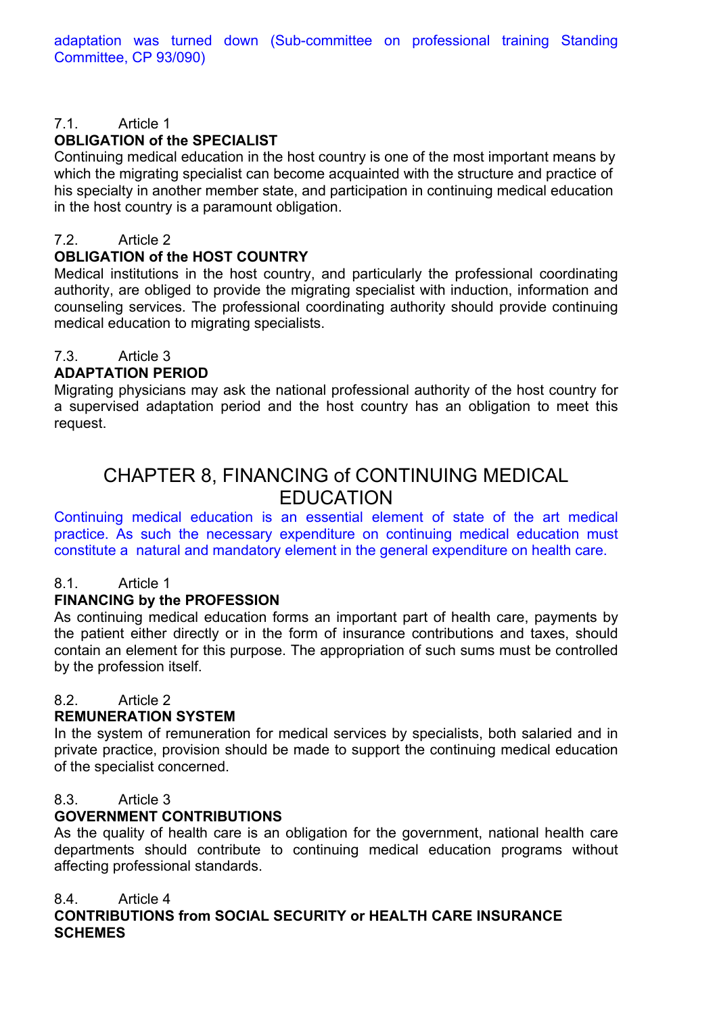#### 7.1. Article 1 **OBLIGATION of the SPECIAL IST**

Continuing medical education in the host country is one of the most important means by which the migrating specialist can become acquainted with the structure and practice of his specialty in another member state, and participation in continuing medical education in the host country is a paramount obligation.

# 7.2. Article 2

#### **OBLIGATION of the HOST COUNTRY**

Medical institutions in the host country, and particularly the professional coordinating authority, are obliged to provide the migrating specialist with induction, information and counseling services. The professional coordinating authority should provide continuing medical education to migrating specialists.

# 7.3. Article 3

## **ADAPTATION PERIOD**

Migrating physicians may ask the national professional authority of the host country for a supervised adaptation period and the host country has an obligation to meet this request.

# CHAPTER 8, FINANCING of CONTINUING MEDICAL EDUCATION

Continuing medical education is an essential element of state of the art medical practice. As such the necessary expenditure on continuing medical education must constitute a natural and mandatory element in the general expenditure on health care.

# 8.1. Article 1

# **FINANCING by the PROFESSION**

As continuing medical education forms an important part of health care, payments by the patient either directly or in the form of insurance contributions and taxes, should contain an element for this purpose. The appropriation of such sums must be controlled by the profession itself.

## 8.2. Article 2

## **REMUNERATION SYSTEM**

In the system of remuneration for medical services by specialists, both salaried and in private practice, provision should be made to support the continuing medical education of the specialist concerned.

## 8.3. Article 3

## **GOVERNMENT CONTRIBUTIONS**

As the quality of health care is an obligation for the government, national health care departments should contribute to continuing medical education programs without affecting professional standards.

## 8.4. Article 4

**CONTRIBUTIONS from SOCIAL SECURITY or HEALTH CARE INSURANCE SCHEMES**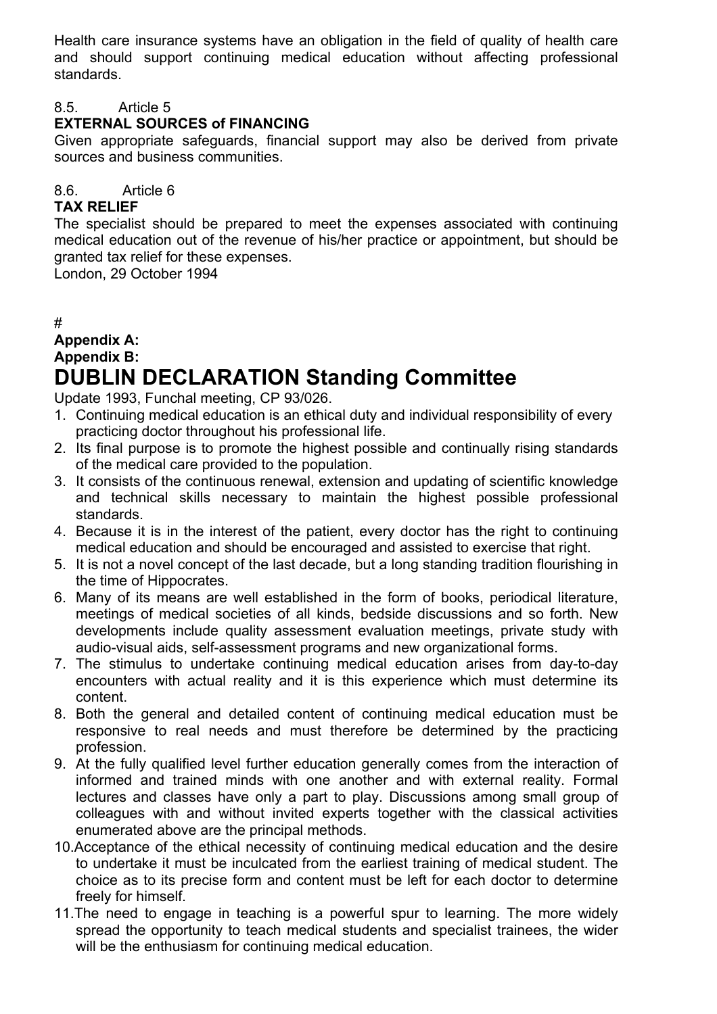Health care insurance systems have an obligation in the field of quality of health care and should support continuing medical education without affecting professional standards.

## 8.5. Article 5

# **EXTERNAL SOURCES of FINANCING**

Given appropriate safeguards, financial support may also be derived from private sources and business communities.

# 8.6. Article 6

#### **TAX RELIEF**

The specialist should be prepared to meet the expenses associated with continuing medical education out of the revenue of his/her practice or appointment, but should be granted tax relief for these expenses.

London, 29 October 1994

## #

# **Appendix A: Appendix B: DUBLIN DECLARATION Standing Committee**

Update 1993, Funchal meeting, CP 93/026.

- 1. Continuing medical education is an ethical duty and individual responsibility of every practicing doctor throughout his professional life.
- 2. Its final purpose is to promote the highest possible and continually rising standards of the medical care provided to the population.
- 3. It consists of the continuous renewal, extension and updating of scientific knowledge and technical skills necessary to maintain the highest possible professional standards.
- 4. Because it is in the interest of the patient, every doctor has the right to continuing medical education and should be encouraged and assisted to exercise that right.
- 5. It is not a novel concept of the last decade, but a long standing tradition flourishing in the time of Hippocrates.
- 6. Many of its means are well established in the form of books, periodical literature, meetings of medical societies of all kinds, bedside discussions and so forth. New developments include quality assessment evaluation meetings, private study with audio-visual aids, self-assessment programs and new organizational forms.
- 7. The stimulus to undertake continuing medical education arises from day-to-day encounters with actual reality and it is this experience which must determine its content.
- 8. Both the general and detailed content of continuing medical education must be responsive to real needs and must therefore be determined by the practicing profession.
- 9. At the fully qualified level further education generally comes from the interaction of informed and trained minds with one another and with external reality. Formal lectures and classes have only a part to play. Discussions among small group of colleagues with and without invited experts together with the classical activities enumerated above are the principal methods.
- 10.Acceptance of the ethical necessity of continuing medical education and the desire to undertake it must be inculcated from the earliest training of medical student. The choice as to its precise form and content must be left for each doctor to determine freely for himself.
- 11.The need to engage in teaching is a powerful spur to learning. The more widely spread the opportunity to teach medical students and specialist trainees, the wider will be the enthusiasm for continuing medical education.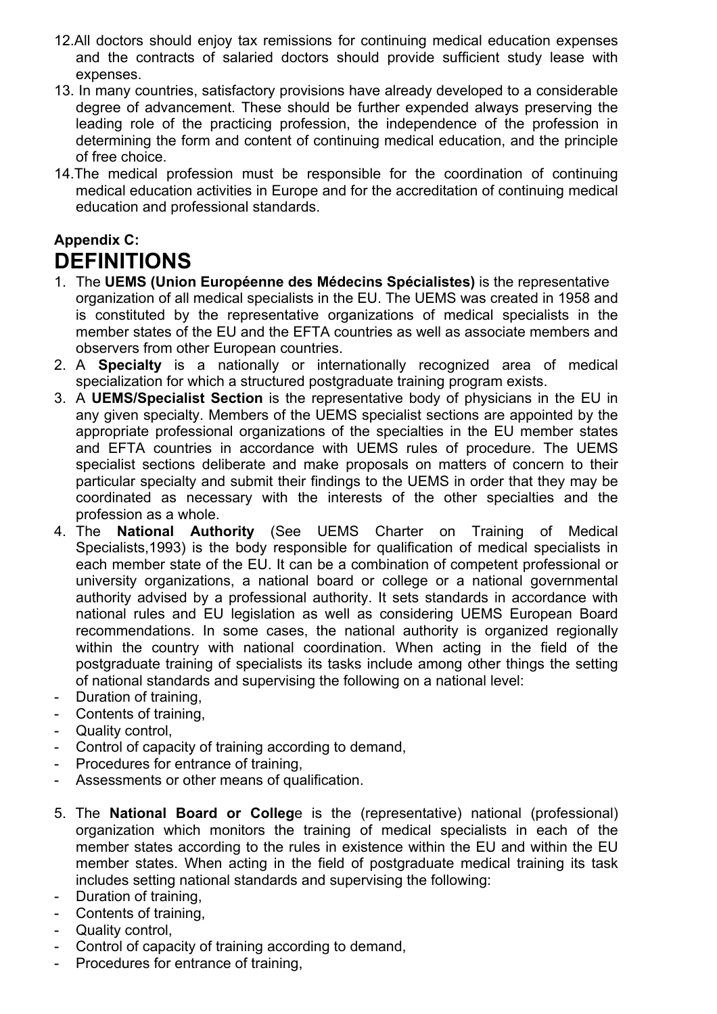- 12.All doctors should enjoy tax remissions for continuing medical education expenses and the contracts of salaried doctors should provide sufficient study lease with expenses.
- 13. In many countries, satisfactory provisions have already developed to a considerable degree of advancement. These should be further expended always preserving the leading role of the practicing profession, the independence of the profession in determining the form and content of continuing medical education, and the principle of free choice.
- 14.The medical profession must be responsible for the coordination of continuing medical education activities in Europe and for the accreditation of continuing medical education and professional standards.

# **Appendix C: DEFINITIONS**

- 1. The **UEMS (Union Européenne des Médecins Spécialistes)** is the representative organization of all medical specialists in the EU. The UEMS was created in 1958 and is constituted by the representative organizations of medical specialists in the member states of the EU and the EFTA countries as well as associate members and observers from other European countries.
- 2. A **Specialty** is a nationally or internationally recognized area of medical specialization for which a structured postgraduate training program exists.
- 3. A **UEMS/Specialist Section** is the representative body of physicians in the EU in any given specialty. Members of the UEMS specialist sections are appointed by the appropriate professional organizations of the specialties in the EU member states and EFTA countries in accordance with UEMS rules of procedure. The UEMS specialist sections deliberate and make proposals on matters of concern to their particular specialty and submit their findings to the UEMS in order that they may be coordinated as necessary with the interests of the other specialties and the profession as a whole.
- 4. The **National Authority** (See UEMS Charter on Training of Medical Specialists,1993) is the body responsible for qualification of medical specialists in each member state of the EU. It can be a combination of competent professional or university organizations, a national board or college or a national governmental authority advised by a professional authority. It sets standards in accordance with national rules and EU legislation as well as considering UEMS European Board recommendations. In some cases, the national authority is organized regionally within the country with national coordination. When acting in the field of the postgraduate training of specialists its tasks include among other things the setting of national standards and supervising the following on a national level:
- Duration of training,
- Contents of training,
- Quality control,
- Control of capacity of training according to demand,
- Procedures for entrance of training.
- Assessments or other means of qualification.
- 5. The **National Board or Colleg**e is the (representative) national (professional) organization which monitors the training of medical specialists in each of the member states according to the rules in existence within the EU and within the EU member states. When acting in the field of postgraduate medical training its task includes setting national standards and supervising the following:
- Duration of training,
- Contents of training,
- Quality control,
- Control of capacity of training according to demand,
- Procedures for entrance of training,